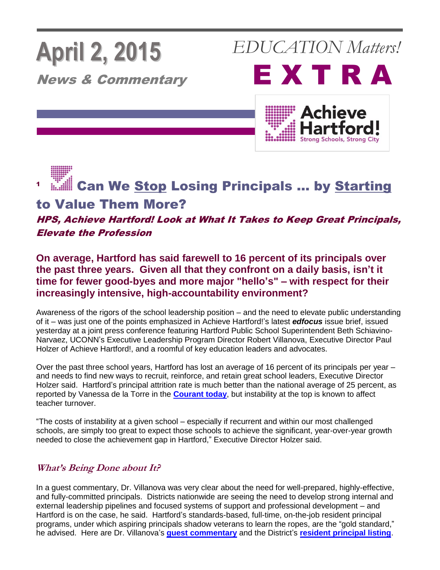# **April 2, 2015**

News & Commentary

*EDUCATION Matters!*





1 **Can We Stop Losing Principals ... by Starting** to Value Them More?

### HPS, Achieve Hartford! Look at What It Takes to Keep Great Principals, Elevate the Profession

**On average, Hartford has said farewell to 16 percent of its principals over the past three years. Given all that they confront on a daily basis, isn't it time for fewer good-byes and more major "hello's" – with respect for their increasingly intensive, high-accountability environment?**

Awareness of the rigors of the school leadership position – and the need to elevate public understanding of it – was just one of the points emphasized in Achieve Hartford!'s latest *edfocus* issue brief, issued yesterday at a joint press conference featuring Hartford Public School Superintendent Beth Schiavino-Narvaez, UCONN's Executive Leadership Program Director Robert Villanova, Executive Director Paul Holzer of Achieve Hartford!, and a roomful of key education leaders and advocates.

Over the past three school years, Hartford has lost an average of 16 percent of its principals per year – and needs to find new ways to recruit, reinforce, and retain great school leaders, Executive Director Holzer said. Hartford's principal attrition rate is much better than the national average of 25 percent, as reported by Vanessa de la Torre in the **[Courant today](http://www.courant.com/community/hartford/hc-hartford-principal-turnover-0402-20150401-story.html)**, but instability at the top is known to affect teacher turnover.

"The costs of instability at a given school – especially if recurrent and within our most challenged schools, are simply too great to expect those schools to achieve the significant, year-over-year growth needed to close the achievement gap in Hartford," Executive Director Holzer said.

### **What's Being Done about It?**

In a guest commentary, Dr. Villanova was very clear about the need for well-prepared, highly-effective, and fully-committed principals. Districts nationwide are seeing the need to develop strong internal and external leadership pipelines and focused systems of support and professional development – and Hartford is on the case, he said. Hartford's standards-based, full-time, on-the-job resident principal programs, under which aspiring principals shadow veterans to learn the ropes, are the "gold standard," he advised. Here are Dr. Villanova's **[guest commentary](http://achievehartford.org/assets/uploads/files/3-30-15--Dr_%20Robert%20Villanova--HPS%20edfocus%20Standing%20by%20Our%20Principals%20%20commentary%20%20RMV.pdf)** and the District's **[resident principal listing](http://achievehartford.org/assets/uploads/files/HPS%20Resident%20Principals%20img-150402111806.pdf)**.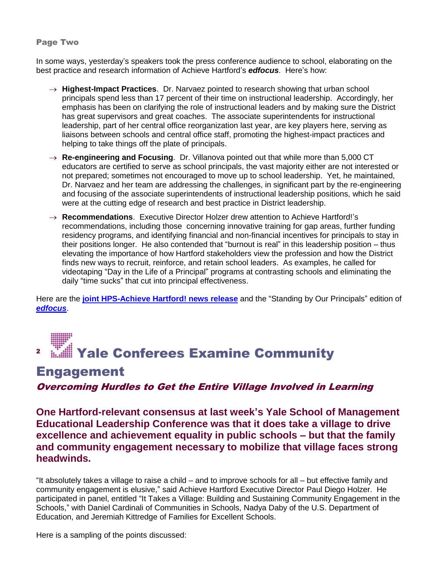### Page Two

In some ways, yesterday's speakers took the press conference audience to school, elaborating on the best practice and research information of Achieve Hartford's *edfocus*. Here's how:

- $\rightarrow$  **Highest-Impact Practices**. Dr. Narvaez pointed to research showing that urban school principals spend less than 17 percent of their time on instructional leadership. Accordingly, her emphasis has been on clarifying the role of instructional leaders and by making sure the District has great supervisors and great coaches. The associate superintendents for instructional leadership, part of her central office reorganization last year, are key players here, serving as liaisons between schools and central office staff, promoting the highest-impact practices and helping to take things off the plate of principals.
- → **Re-engineering and Focusing**. Dr. Villanova pointed out that while more than 5,000 CT educators are certified to serve as school principals, the vast majority either are not interested or not prepared; sometimes not encouraged to move up to school leadership. Yet, he maintained, Dr. Narvaez and her team are addressing the challenges, in significant part by the re-engineering and focusing of the associate superintendents of instructional leadership positions, which he said were at the cutting edge of research and best practice in District leadership.
- **Recommendations**. Executive Director Holzer drew attention to Achieve Hartford!'s recommendations, including those concerning innovative training for gap areas, further funding residency programs, and identifying financial and non-financial incentives for principals to stay in their positions longer. He also contended that "burnout is real" in this leadership position – thus elevating the importance of how Hartford stakeholders view the profession and how the District finds new ways to recruit, reinforce, and retain school leaders. As examples, he called for videotaping "Day in the Life of a Principal" programs at contrasting schools and eliminating the daily "time sucks" that cut into principal effectiveness.

Here are the **joint HPS-Achieve [Hartford! news release](http://achievehartford.org/assets/uploads/files/4-1-15%20~~~~Joint%20HPS-AH%20edfocus%20News%20Release.pdf)** and the "Standing by Our Principals" edition of *[edfocus](http://achievehartford.org/assets/uploads/files/4-1-15-----WEB--edfocus_principals_online%20version.pdf)*.

### 2 Yale Conferees Examine Community

### **Engagement**

### Overcoming Hurdles to Get the Entire Village Involved in Learning

**One Hartford-relevant consensus at last week's Yale School of Management Educational Leadership Conference was that it does take a village to drive excellence and achievement equality in public schools – but that the family and community engagement necessary to mobilize that village faces strong headwinds.**

"It absolutely takes a village to raise a child – and to improve schools for all – but effective family and community engagement is elusive," said Achieve Hartford Executive Director Paul Diego Holzer. He participated in panel, entitled "It Takes a Village: Building and Sustaining Community Engagement in the Schools," with Daniel Cardinali of Communities in Schools, Nadya Daby of the U.S. Department of Education, and Jeremiah Kittredge of Families for Excellent Schools.

Here is a sampling of the points discussed: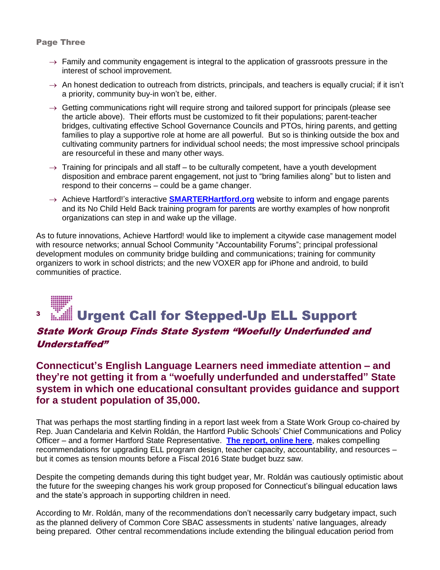### Page Three

- $\rightarrow$  Family and community engagement is integral to the application of grassroots pressure in the interest of school improvement.
- $\rightarrow$  An honest dedication to outreach from districts, principals, and teachers is equally crucial; if it isn't a priority, community buy-in won't be, either.
- $\rightarrow$  Getting communications right will require strong and tailored support for principals (please see the article above). Their efforts must be customized to fit their populations; parent-teacher bridges, cultivating effective School Governance Councils and PTOs, hiring parents, and getting families to play a supportive role at home are all powerful. But so is thinking outside the box and cultivating community partners for individual school needs; the most impressive school principals are resourceful in these and many other ways.
- $\rightarrow$  Training for principals and all staff to be culturally competent, have a youth development disposition and embrace parent engagement, not just to "bring families along" but to listen and respond to their concerns – could be a game changer.
- → Achieve Hartford!'s interactive **[SMARTERHartford.org](http://smarterhartford.org/)** website to inform and engage parents and its No Child Held Back training program for parents are worthy examples of how nonprofit organizations can step in and wake up the village.

As to future innovations, Achieve Hartford! would like to implement a citywide case management model with resource networks; annual School Community "Accountability Forums"; principal professional development modules on community bridge building and communications; training for community organizers to work in school districts; and the new VOXER app for iPhone and android, to build communities of practice.

### 3 Urgent Call for Stepped-Up ELL Support

### State Work Group Finds State System "Woefully Underfunded and Understaffed"

### **Connecticut's English Language Learners need immediate attention – and they're not getting it from a "woefully underfunded and understaffed" State system in which one educational consultant provides guidance and support for a student population of 35,000.**

That was perhaps the most startling finding in a report last week from a State Work Group co-chaired by Rep. Juan Candelaria and Kelvin Roldán, the Hartford Public Schools' Chief Communications and Policy Officer – and a former Hartford State Representative. **[The report, online here](http://achievehartford.org/assets/uploads/files/ELAEE%20Report%20to%20the%20Speaker%20of%20the%20House%202015%20(2).pdf)**, makes compelling recommendations for upgrading ELL program design, teacher capacity, accountability, and resources – but it comes as tension mounts before a Fiscal 2016 State budget buzz saw.

Despite the competing demands during this tight budget year, Mr. Roldán was cautiously optimistic about the future for the sweeping changes his work group proposed for Connecticut's bilingual education laws and the state's approach in supporting children in need.

According to Mr. Roldán, many of the recommendations don't necessarily carry budgetary impact, such as the planned delivery of Common Core SBAC assessments in students' native languages, already being prepared. Other central recommendations include extending the bilingual education period from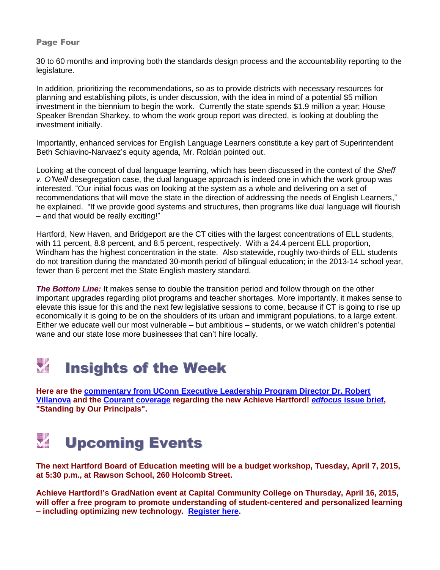### Page Four

30 to 60 months and improving both the standards design process and the accountability reporting to the legislature.

In addition, prioritizing the recommendations, so as to provide districts with necessary resources for planning and establishing pilots, is under discussion, with the idea in mind of a potential \$5 million investment in the biennium to begin the work. Currently the state spends \$1.9 million a year; House Speaker Brendan Sharkey, to whom the work group report was directed, is looking at doubling the investment initially.

Importantly, enhanced services for English Language Learners constitute a key part of Superintendent Beth Schiavino-Narvaez's equity agenda, Mr. Roldán pointed out.

Looking at the concept of dual language learning, which has been discussed in the context of the *Sheff v. O'Neill* desegregation case, the dual language approach is indeed one in which the work group was interested. "Our initial focus was on looking at the system as a whole and delivering on a set of recommendations that will move the state in the direction of addressing the needs of English Learners," he explained. "If we provide good systems and structures, then programs like dual language will flourish – and that would be really exciting!"

Hartford, New Haven, and Bridgeport are the CT cities with the largest concentrations of ELL students, with 11 percent, 8.8 percent, and 8.5 percent, respectively. With a 24.4 percent ELL proportion, Windham has the highest concentration in the state. Also statewide, roughly two-thirds of ELL students do not transition during the mandated 30-month period of bilingual education; in the 2013-14 school year, fewer than 6 percent met the State English mastery standard.

*The Bottom Line:* It makes sense to double the transition period and follow through on the other important upgrades regarding pilot programs and teacher shortages. More importantly, it makes sense to elevate this issue for this and the next few legislative sessions to come, because if CT is going to rise up economically it is going to be on the shoulders of its urban and immigrant populations, to a large extent. Either we educate well our most vulnerable – but ambitious – students, or we watch children's potential wane and our state lose more businesses that can't hire locally.

### Insights of the Week

**Here are the [commentary from UConn Executive Leadership Program Director Dr. Robert](http://achievehartford.org/assets/uploads/files/3-30-15--Dr_%20Robert%20Villanova--HPS%20edfocus%20Standing%20by%20Our%20Principals%20%20commentary%20%20RMV.pdf)  [Villanova](http://achievehartford.org/assets/uploads/files/3-30-15--Dr_%20Robert%20Villanova--HPS%20edfocus%20Standing%20by%20Our%20Principals%20%20commentary%20%20RMV.pdf) and the [Courant coverage](http://www.courant.com/community/hartford/hc-hartford-principal-turnover-0402-20150401-story.html) regarding the new Achieve Hartford!** *edfocus* **[issue brief,](http://achievehartford.org/assets/uploads/files/4-1-15-----WEB--edfocus_principals_online%20version.pdf) "Standing by Our Principals".**

### WW 1 Upcoming Events

**The next Hartford Board of Education meeting will be a budget workshop, Tuesday, April 7, 2015, at 5:30 p.m., at Rawson School, 260 Holcomb Street.**

**Achieve Hartford!'s GradNation event at Capital Community College on Thursday, April 16, 2015, will offer a free program to promote understanding of student-centered and personalized learning – including optimizing new technology. [Register here.](http://achieve.s464.sureserver.com/civicrm/event/info?reset=1&id=15)**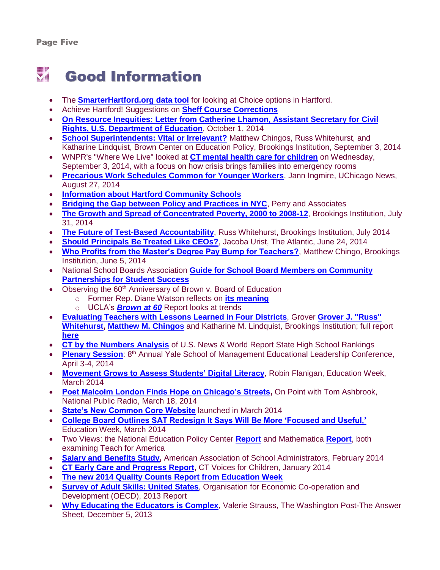## Good Information

- The **[SmarterHartford.org data tool](http://smarterhartford.org/)** for looking at Choice options in Hartford.
- Achieve Hartford! Suggestions on **[Sheff Course Corrections](http://ctmirror.org/op-ed-hartford-families-need-some-sheff-course-corrections/)**
- **[On Resource Inequities: Letter from Catherine Lhamon, Assistant Secretary for Civil](http://www2.ed.gov/about/offices/list/ocr/letters/colleague-resourcecomp-201410.pdf)  [Rights, U.S. Department of Education](http://www2.ed.gov/about/offices/list/ocr/letters/colleague-resourcecomp-201410.pdf)**, October 1, 2014
- **[School Superintendents: Vital or Irrelevant?](http://www.brookings.edu/research/reports/2014/09/03-superintendents-chingos-whitehurst)** Matthew Chingos, Russ Whitehurst, and Katharine Lindquist, Brown Center on Education Policy, Brookings Institution, September 3, 2014
- WNPR's "Where We Live" looked at **[CT mental health care for children](http://wnpr.org/post/how-well-connecticut-caring-its-child-mental-health-patients)** on Wednesday, September 3, 2014, with a focus on how crisis brings families into emergency rooms
- **[Precarious Work Schedules Common for Younger Workers](http://news.uchicago.edu/article/2014/08/27/precarious-work-schedules-common-among-younger-workers)**, Jann Ingmire, UChicago News, August 27, 2014
- **[Information about Hartford Community Schools](http://www.hartfordschools.org/schools/community-schools)**
- **[Bridging the Gap between Policy and Practices in NYC](http://www.perryandassociatesinc.com/NYC-SE_ReformBP_Report_Final_4-23.pdf)**, Perry and Associates
- **[The Growth and Spread of Concentrated Poverty, 2000 to 2008-12](http://www.brookings.edu/research/interactives/2014/concentrated-poverty#/M25540), Brookings Institution, July** 31, 2014
- **[The Future of Test-Based Accountability](http://www.brookings.edu/blogs/brown-center-chalkboard/posts/2014/07/10-accountability-whitehurst)**, Russ Whitehurst, Brookings Institution, July 2014
- **[Should Principals Be Treated Like CEOs?](http://www.theatlantic.com/education/archive/2014/06/should-we-be-treating-principals-like-ceos/373246/)**, Jacoba Urist, The Atlantic, June 24, 2014
- **[Who Profits from the Master's Degree Pay Bump for Teachers?](http://www.brookings.edu/blogs/brown-center-chalkboard/posts/2014/06/05-masters-degree-pay-bump-chingos)**, Matthew Chingo, Brookings Institution, June 5, 2014
- National School Boards Association **[Guide for School Board Members on Community](http://www.nsba.org/partnership-not-pushout-guide)  [Partnerships for Student Success](http://www.nsba.org/partnership-not-pushout-guide)**
- Observing the 60<sup>th</sup> Anniversary of Brown v. Board of Education
	- o Former Rep. Diane Watson reflects on **[its meaning](https://www.youtube.com/watch?v=7W4A_bba9ss&feature=youtu.be&mkt_tok=3RkMMJWWfF9wsRonua3LZKXonjHpfsX%2B6OokULHr08Yy0EZ5VunJEUWy2YIGRdQ%2FcOedCQkZHblFnVwPS629WrINo6YO)**
	- o UCLA's *[Brown at 60](http://hnn.us/article/155669)* Report looks at trends
- **[Evaluating Teachers with Lessons Learned in Four Districts](http://www.brookings.edu/research/reports/2014/05/13-teacher-evaluation-whitehurst-chingos)**, Grover **[Grover J. "Russ"](http://www.brookings.edu/experts/whitehurstg)  [Whitehurst,](http://www.brookings.edu/experts/whitehurstg) [Matthew M. Chingos](http://www.brookings.edu/experts/chingosm)** and Katharine M. Lindquist, Brookings Institution; full report **[here](http://www.brookings.edu/~/media/research/files/reports/2014/05/13%20teacher%20evaluation/evaluating%20teachers%20with%20classroom%20observations.pdf)**
- **[CT by the Numbers Analysis](http://ctbythenumbers.info/2014/05/04/44-connecticut-high-schools-among-best-us-top-school-state-15-nationally/)** of U.S. News & World Report State High School Rankings
- **[Plenary Session](https://www.youtube.com/watch?v=ijYb_FVIIpo&list=PLsz47E2DjFA1QIGVehFg2Gg0k-S_V1M4T&index=2):** 8<sup>th</sup> Annual Yale School of Management Educational Leadership Conference, April 3-4, 2014
- **[Movement Grows to Assess Students' Digital Literacy](http://www.edweek.org/ew/articles/2014/03/13/25digitalliteracy.h33.html?intc=EW-TC14-EWH)**, Robin Flanigan, Education Week, March 2014
- **[Poet Malcolm London Finds Hope on Chicago's Streets,](http://onpoint.wbur.org/2014/03/18/malcolm-london-poetry-chicago)** On Point with Tom Ashbrook, National Public Radio, March 18, 2014
- **[State's New Common Core Website](http://ctcorestandards.org/)** launched in March 2014
- **[College Board Outlines SAT Redesign It Says Will Be More 'Focused and Useful,'](http://blogs.edweek.org/edweek/college_bound/2014/03/the_college_board_has_provided.html)** Education Week, March 2014
- Two Views: the National Education Policy Center **[Report](http://nepc.colorado.edu/publication/teach-for-america-return)** and Mathematica **[Report](http://www.mathematica-mpr.com/publications/PDFs/education/HSAC_final_rpt_9_2013.pdf)**, both examining Teach for America
- **[Salary and Benefits Study,](http://www.aasa.org/uploadedFiles/Publications/Salary_Survey_Public_2013.pdf)** American Association of School Administrators, February 2014
- **[CT Early Care and Progress Report,](https://www.documentcloud.org/documents/1009312-early-care-and-education-report-ct-voices-for.html)** CT Voices for Children, January 2014
- **[The new 2014 Quality Counts Report from Education Week](http://www.edweek.org/media/ew/qc/2014/shr/16shr.us.h33.pdf)**
- **[Survey of Adult Skills: United States](http://www.oecd.org/site/piaac/Country%20note%20-%20United%20States.pdf)**, Organisation for Economic Co-operation and Development (OECD), 2013 Report
- **[Why Educating the Educators is Complex](http://www.washingtonpost.com/blogs/answer-sheet/wp/2013/12/05/why-educating-the-educators-is-complex/)**, Valerie Strauss, The Washington Post-The Answer Sheet, December 5, 2013